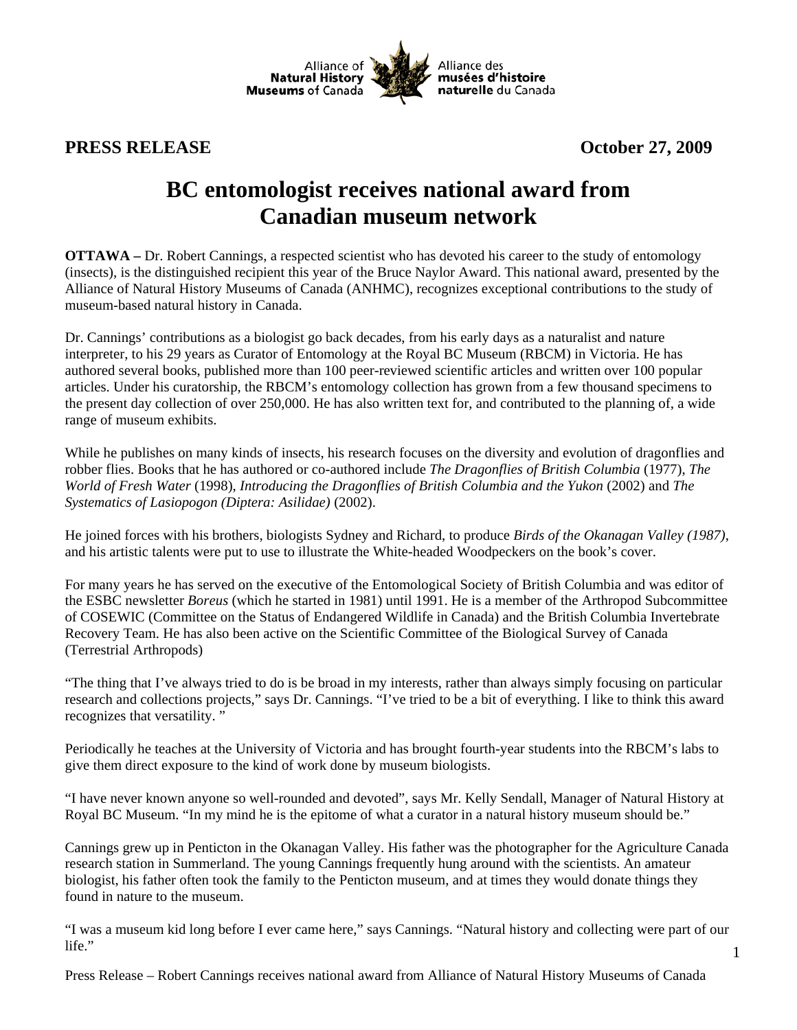

**PRESS RELEASE October 27, 2009** 

## **BC entomologist receives national award from Canadian museum network**

**OTTAWA –** Dr. Robert Cannings, a respected scientist who has devoted his career to the study of entomology (insects), is the distinguished recipient this year of the Bruce Naylor Award. This national award, presented by the Alliance of Natural History Museums of Canada (ANHMC), recognizes exceptional contributions to the study of museum-based natural history in Canada.

Dr. Cannings' contributions as a biologist go back decades, from his early days as a naturalist and nature interpreter, to his 29 years as Curator of Entomology at the Royal BC Museum (RBCM) in Victoria. He has authored several books, published more than 100 peer-reviewed scientific articles and written over 100 popular articles. Under his curatorship, the RBCM's entomology collection has grown from a few thousand specimens to the present day collection of over 250,000. He has also written text for, and contributed to the planning of, a wide range of museum exhibits.

While he publishes on many kinds of insects, his research focuses on the diversity and evolution of dragonflies and robber flies. Books that he has authored or co-authored include *The Dragonflies of British Columbia* (1977), *The World of Fresh Water* (1998), *Introducing the Dragonflies of British Columbia and the Yukon* (2002) and *The Systematics of Lasiopogon (Diptera: Asilidae)* (2002).

He joined forces with his brothers, biologists Sydney and Richard, to produce *Birds of the Okanagan Valley (1987)*, and his artistic talents were put to use to illustrate the White-headed Woodpeckers on the book's cover.

For many years he has served on the executive of the Entomological Society of British Columbia and was editor of the ESBC newsletter *Boreus* (which he started in 1981) until 1991. He is a member of the Arthropod Subcommittee of COSEWIC (Committee on the Status of Endangered Wildlife in Canada) and the British Columbia Invertebrate Recovery Team. He has also been active on the Scientific Committee of the Biological Survey of Canada (Terrestrial Arthropods)

"The thing that I've always tried to do is be broad in my interests, rather than always simply focusing on particular research and collections projects," says Dr. Cannings. "I've tried to be a bit of everything. I like to think this award recognizes that versatility. "

Periodically he teaches at the University of Victoria and has brought fourth-year students into the RBCM's labs to give them direct exposure to the kind of work done by museum biologists.

"I have never known anyone so well-rounded and devoted", says Mr. Kelly Sendall, Manager of Natural History at Royal BC Museum. "In my mind he is the epitome of what a curator in a natural history museum should be."

Cannings grew up in Penticton in the Okanagan Valley. His father was the photographer for the Agriculture Canada research station in Summerland. The young Cannings frequently hung around with the scientists. An amateur biologist, his father often took the family to the Penticton museum, and at times they would donate things they found in nature to the museum.

1 "I was a museum kid long before I ever came here," says Cannings. "Natural history and collecting were part of our life."

Press Release – Robert Cannings receives national award from Alliance of Natural History Museums of Canada